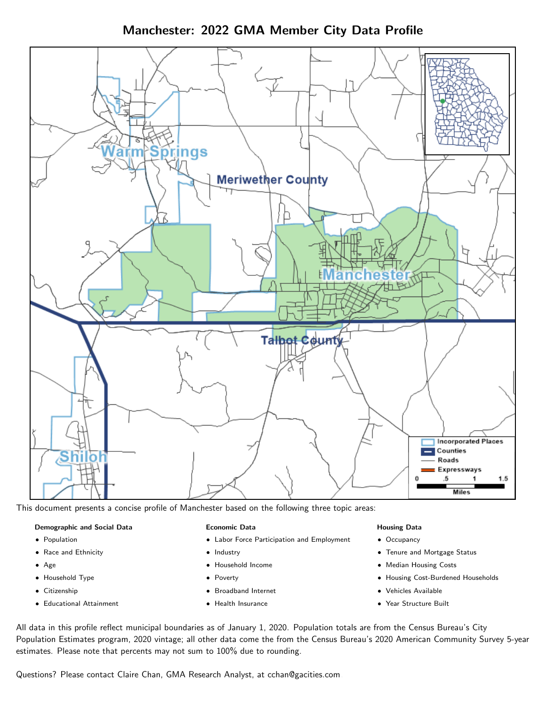Manchester: 2022 GMA Member City Data Profile



This document presents a concise profile of Manchester based on the following three topic areas:

#### Demographic and Social Data

- **•** Population
- Race and Ethnicity
- Age
- Household Type
- **Citizenship**
- Educational Attainment

#### Economic Data

- Labor Force Participation and Employment
- Industry
- Household Income
- Poverty
- Broadband Internet
- Health Insurance

#### Housing Data

- Occupancy
- Tenure and Mortgage Status
- Median Housing Costs
- Housing Cost-Burdened Households
- Vehicles Available
- Year Structure Built

All data in this profile reflect municipal boundaries as of January 1, 2020. Population totals are from the Census Bureau's City Population Estimates program, 2020 vintage; all other data come the from the Census Bureau's 2020 American Community Survey 5-year estimates. Please note that percents may not sum to 100% due to rounding.

Questions? Please contact Claire Chan, GMA Research Analyst, at [cchan@gacities.com.](mailto:cchan@gacities.com)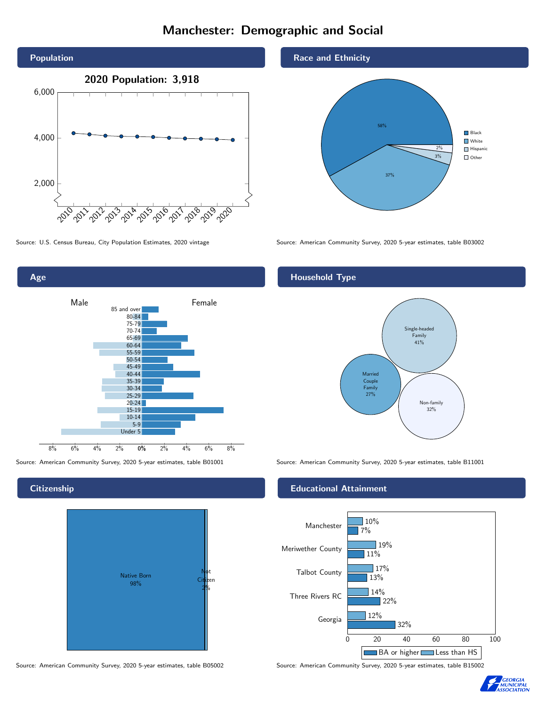# Manchester: Demographic and Social



0% 2% 4% 6% 8% Male **Female** 8% 6% 4% 2% 85 and over 80-84 75-79 70-74 65-69 60-64 55-59 50-54 45-49 40-44 35-39 30-34 25-29  $20 - 24$ 15-19 10-14 5-9 Under 5

# **Citizenship**

Age



Source: American Community Survey, 2020 5-year estimates, table B05002 Source: American Community Survey, 2020 5-year estimates, table B15002

## Race and Ethnicity



Source: U.S. Census Bureau, City Population Estimates, 2020 vintage Source: American Community Survey, 2020 5-year estimates, table B03002

# Household Type



Source: American Community Survey, 2020 5-year estimates, table B01001 Source: American Community Survey, 2020 5-year estimates, table B11001

### Educational Attainment



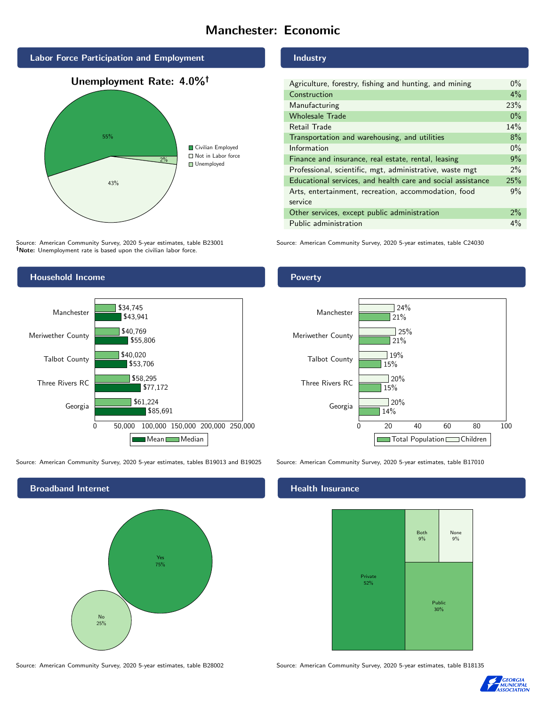# Manchester: Economic



Source: American Community Survey, 2020 5-year estimates, table B23001 Note: Unemployment rate is based upon the civilian labor force.

#### Industry

| Agriculture, forestry, fishing and hunting, and mining      | $0\%$ |
|-------------------------------------------------------------|-------|
| Construction                                                | $4\%$ |
| Manufacturing                                               | 23%   |
| <b>Wholesale Trade</b>                                      | $0\%$ |
| Retail Trade                                                | 14%   |
| Transportation and warehousing, and utilities               | 8%    |
| Information                                                 | $0\%$ |
| Finance and insurance, real estate, rental, leasing         | 9%    |
| Professional, scientific, mgt, administrative, waste mgt    | $2\%$ |
| Educational services, and health care and social assistance | 25%   |
| Arts, entertainment, recreation, accommodation, food        | 9%    |
| service                                                     |       |
| Other services, except public administration                | 2%    |
| Public administration                                       | $4\%$ |

Source: American Community Survey, 2020 5-year estimates, table C24030



Source: American Community Survey, 2020 5-year estimates, tables B19013 and B19025 Source: American Community Survey, 2020 5-year estimates, table B17010



#### Poverty



#### Health Insurance



Source: American Community Survey, 2020 5-year estimates, table B28002 Source: American Community Survey, 2020 5-year estimates, table B18135